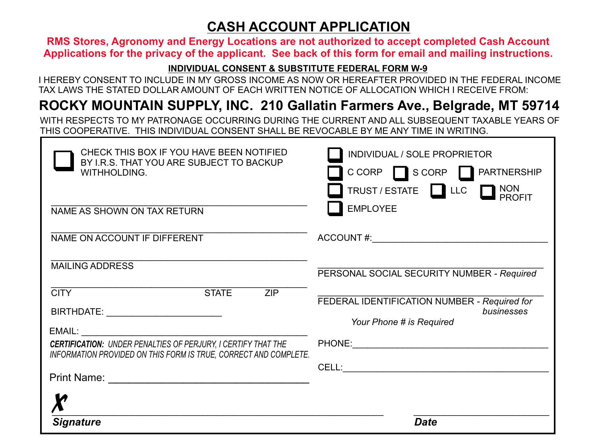## **CASH ACCOUNT APPLICATION**

**RMS Stores, Agronomy and Energy Locations are not authorized to accept completed Cash Account Applications for the privacy of the applicant. See back of this form for email and mailing instructions.**

#### **INDIVIDUAL CONSENT & SUBSTITUTE FEDERAL FORM W-9**

I HEREBY CONSENT TO INCLUDE IN MY GROSS INCOME AS NOW OR HEREAFTER PROVIDED IN THE FEDERAL INCOME TAX LAWS THE STATED DOLLAR AMOUNT OF EACH WRITTEN NOTICE OF ALLOCATION WHICH I RECEIVE FROM:

# **ROCKY MOUNTAIN SUPPLY, INC. 210 Gallatin Farmers Ave., Belgrade, MT 59714**

WITH RESPECTS TO MY PATRONAGE OCCURRING DURING THE CURRENT AND ALL SUBSEQUENT TAXABLE YEARS OF THIS COOPERATIVE. THIS INDIVIDUAL CONSENT SHALL BE REVOCABLE BY ME ANY TIME IN WRITING.

| CHECK THIS BOX IF YOU HAVE BEEN NOTIFIED<br>BY I.R.S. THAT YOU ARE SUBJECT TO BACKUP<br>WITHHOLDING.<br>NAME AS SHOWN ON TAX RETURN      | INDIVIDUAL / SOLE PROPRIETOR<br>CCORP SCORP PARTNERSHIP<br>TRUST/ESTATE LLC PROFIT<br><b>EMPLOYEE</b> |
|------------------------------------------------------------------------------------------------------------------------------------------|-------------------------------------------------------------------------------------------------------|
| NAME ON ACCOUNT IF DIFFERENT                                                                                                             |                                                                                                       |
| <b>MAILING ADDRESS</b><br><b>CITY</b><br><b>STATE</b><br>ZIP                                                                             | PERSONAL SOCIAL SECURITY NUMBER - Required                                                            |
| BIRTHDATE: <u>______________</u>                                                                                                         | FEDERAL IDENTIFICATION NUMBER - Required for<br>businesses<br>Your Phone # is Required                |
| <b>CERTIFICATION: UNDER PENALTIES OF PERJURY, I CERTIFY THAT THE</b><br>INFORMATION PROVIDED ON THIS FORM IS TRUE, CORRECT AND COMPLETE. |                                                                                                       |
|                                                                                                                                          |                                                                                                       |
| <b>Signature</b>                                                                                                                         | Date                                                                                                  |